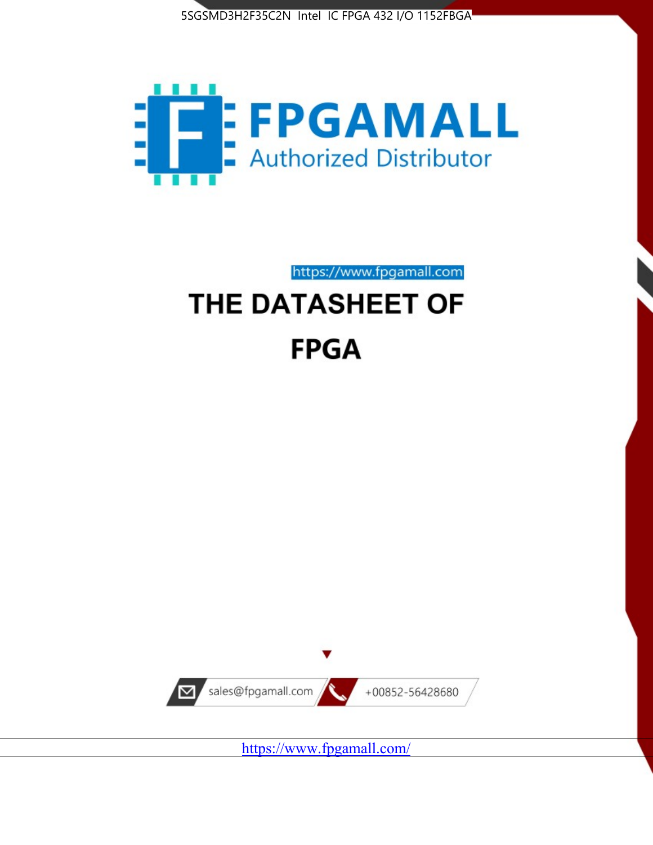



https://www.fpgamall.com

# THE DATASHEET OF **FPGA**



<https://www.fpgamall.com/>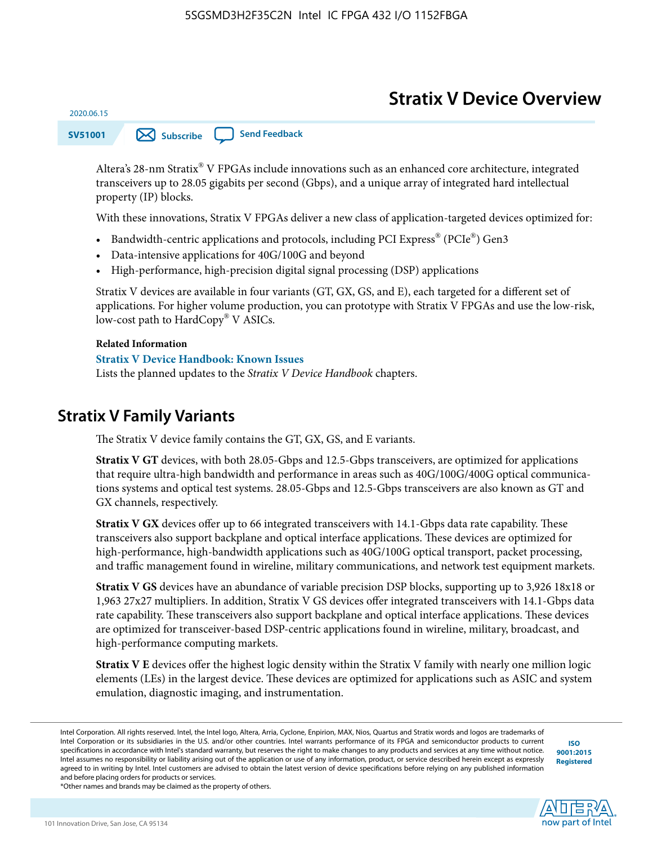# **Stratix V Device Overview**

**SV51001 [Subscribe](https://www.altera.com/servlets/subscriptions/alert?id=SV51001) [Send Feedback](mailto:FPGAtechdocfeedback@intel.com?subject=Feedback%20on%20(SV51001%202020.06.15)%20Stratix%20V%20Device%20Overview&body=We%20appreciate%20your%20feedback.%20In%20your%20comments,%20also%20specify%20the%20page%20number%20or%20paragraph.%20Thank%20you.)** 

Altera's 28-nm Stratix® V FPGAs include innovations such as an enhanced core architecture, integrated transceivers up to 28.05 gigabits per second (Gbps), and a unique array of integrated hard intellectual property (IP) blocks.

With these innovations, Stratix V FPGAs deliver a new class of application-targeted devices optimized for:

- Bandwidth-centric applications and protocols, including PCI Express® (PCIe®) Gen3
- Data-intensive applications for 40G/100G and beyond
- High-performance, high-precision digital signal processing (DSP) applications

Stratix V devices are available in four variants (GT, GX, GS, and E), each targeted for a different set of applications. For higher volume production, you can prototype with Stratix V FPGAs and use the low-risk, low-cost path to HardCopy® V ASICs.

#### **Related Information**

2020.06.15

#### **[Stratix V Device Handbook: Known Issues](http://www.altera.com/support/kdb/solutions/rd08242010_83.html)**

Lists the planned updates to the *Stratix V Device Handbook* chapters.

## **Stratix V Family Variants**

The Stratix V device family contains the GT, GX, GS, and E variants.

**Stratix V GT** devices, with both 28.05-Gbps and 12.5-Gbps transceivers, are optimized for applications that require ultra-high bandwidth and performance in areas such as 40G/100G/400G optical communica‐ tions systems and optical test systems. 28.05-Gbps and 12.5-Gbps transceivers are also known as GT and GX channels, respectively.

**Stratix V GX** devices offer up to 66 integrated transceivers with 14.1-Gbps data rate capability. These transceivers also support backplane and optical interface applications. These devices are optimized for high-performance, high-bandwidth applications such as 40G/100G optical transport, packet processing, and traffic management found in wireline, military communications, and network test equipment markets.

**Stratix V GS** devices have an abundance of variable precision DSP blocks, supporting up to 3,926 18x18 or 1,963 27x27 multipliers. In addition, Stratix V GS devices offer integrated transceivers with 14.1-Gbps data rate capability. These transceivers also support backplane and optical interface applications. These devices are optimized for transceiver-based DSP-centric applications found in wireline, military, broadcast, and high-performance computing markets.

**Stratix V E** devices offer the highest logic density within the Stratix V family with nearly one million logic elements (LEs) in the largest device. These devices are optimized for applications such as ASIC and system emulation, diagnostic imaging, and instrumentation.

**[ISO](http://www.altera.com/support/devices/reliability/certifications/rel-certifications.html) [9001:2015](http://www.altera.com/support/devices/reliability/certifications/rel-certifications.html) [Registered](http://www.altera.com/support/devices/reliability/certifications/rel-certifications.html)**



\*Other names and brands may be claimed as the property of others.

Intel Corporation. All rights reserved. Intel, the Intel logo, Altera, Arria, Cyclone, Enpirion, MAX, Nios, Quartus and Stratix words and logos are trademarks of Intel Corporation or its subsidiaries in the U.S. and/or other countries. Intel warrants performance of its FPGA and semiconductor products to current specifications in accordance with Intel's standard warranty, but reserves the right to make changes to any products and services at any time without notice. Intel assumes no responsibility or liability arising out of the application or use of any information, product, or service described herein except as expressly agreed to in writing by Intel. Intel customers are advised to obtain the latest version of device specifications before relying on any published information and before placing orders for products or services.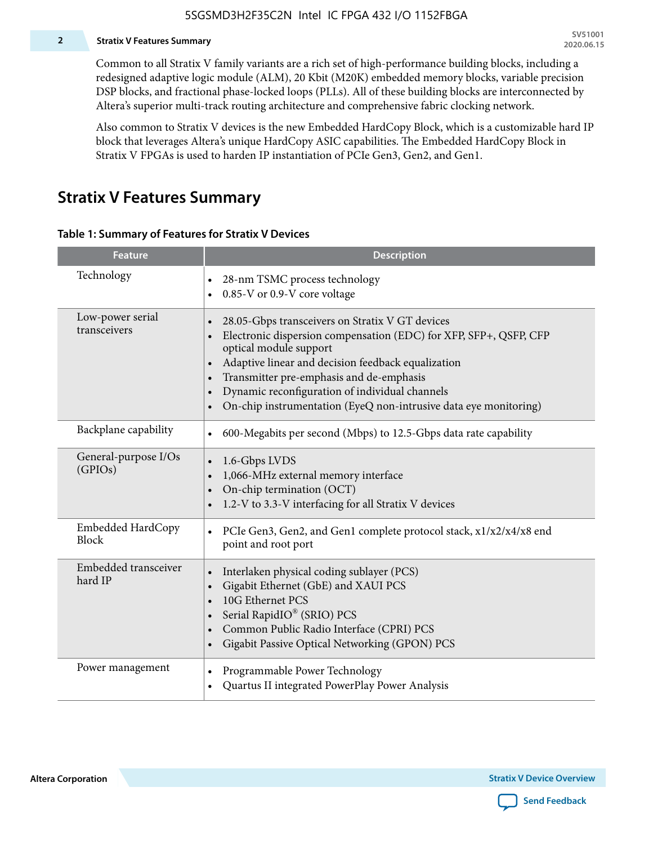#### **2 Stratix V Features Summary**

Common to all Stratix V family variants are a rich set of high-performance building blocks, including a redesigned adaptive logic module (ALM), 20 Kbit (M20K) embedded memory blocks, variable precision DSP blocks, and fractional phase-locked loops (PLLs). All of these building blocks are interconnected by Altera's superior multi-track routing architecture and comprehensive fabric clocking network.

Also common to Stratix V devices is the new Embedded HardCopy Block, which is a customizable hard IP block that leverages Altera's unique HardCopy ASIC capabilities. The Embedded HardCopy Block in Stratix V FPGAs is used to harden IP instantiation of PCIe Gen3, Gen2, and Gen1.

# **Stratix V Features Summary**

#### **Table 1: Summary of Features for Stratix V Devices**

| <b>Feature</b>                    | <b>Description</b>                                                                                                                                                                                                                                                                                                                                                                                                         |
|-----------------------------------|----------------------------------------------------------------------------------------------------------------------------------------------------------------------------------------------------------------------------------------------------------------------------------------------------------------------------------------------------------------------------------------------------------------------------|
| Technology                        | 28-nm TSMC process technology<br>0.85-V or 0.9-V core voltage                                                                                                                                                                                                                                                                                                                                                              |
| Low-power serial<br>transceivers  | 28.05-Gbps transceivers on Stratix V GT devices<br>$\bullet$<br>Electronic dispersion compensation (EDC) for XFP, SFP+, QSFP, CFP<br>optical module support<br>Adaptive linear and decision feedback equalization<br>$\bullet$<br>Transmitter pre-emphasis and de-emphasis<br>Dynamic reconfiguration of individual channels<br>$\bullet$<br>On-chip instrumentation (EyeQ non-intrusive data eye monitoring)<br>$\bullet$ |
| Backplane capability              | 600-Megabits per second (Mbps) to 12.5-Gbps data rate capability<br>$\bullet$                                                                                                                                                                                                                                                                                                                                              |
| General-purpose I/Os<br>(GPIOs)   | 1.6-Gbps LVDS<br>1,066-MHz external memory interface<br>$\bullet$<br>On-chip termination (OCT)<br>$\bullet$<br>1.2-V to 3.3-V interfacing for all Stratix V devices                                                                                                                                                                                                                                                        |
| Embedded HardCopy<br><b>Block</b> | PCIe Gen3, Gen2, and Gen1 complete protocol stack, x1/x2/x4/x8 end<br>$\bullet$<br>point and root port                                                                                                                                                                                                                                                                                                                     |
| Embedded transceiver<br>hard IP   | Interlaken physical coding sublayer (PCS)<br>$\bullet$<br>Gigabit Ethernet (GbE) and XAUI PCS<br>$\bullet$<br>10G Ethernet PCS<br>Serial RapidIO® (SRIO) PCS<br>$\bullet$<br>Common Public Radio Interface (CPRI) PCS<br>$\bullet$<br>Gigabit Passive Optical Networking (GPON) PCS<br>$\bullet$                                                                                                                           |
| Power management                  | Programmable Power Technology<br>$\bullet$<br>Quartus II integrated PowerPlay Power Analysis<br>$\bullet$                                                                                                                                                                                                                                                                                                                  |

**Altera Corporation** 

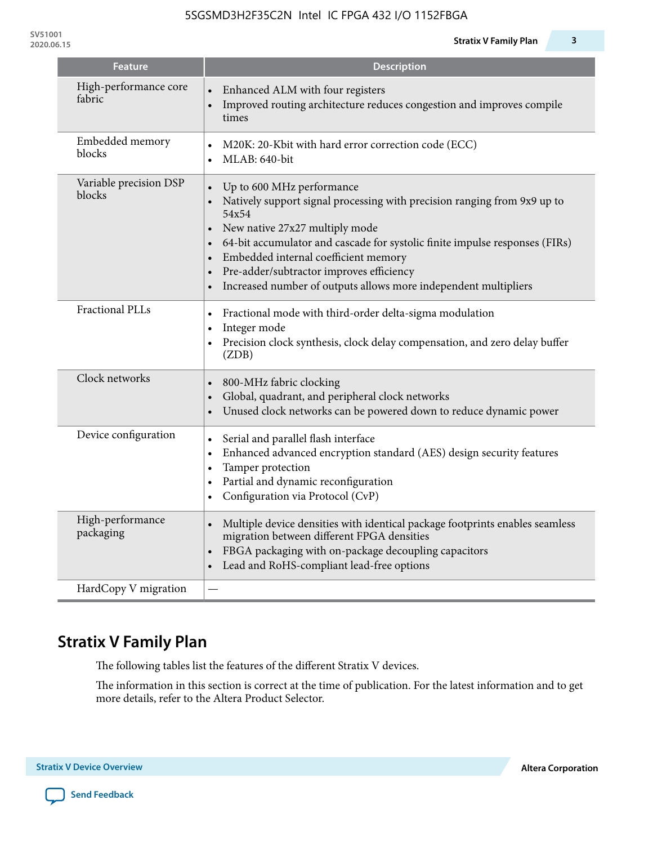**SV51001**

| <b>Feature</b>                   | <b>Description</b>                                                                                                                                                                                                                                                                                                                                                                     |
|----------------------------------|----------------------------------------------------------------------------------------------------------------------------------------------------------------------------------------------------------------------------------------------------------------------------------------------------------------------------------------------------------------------------------------|
| High-performance core<br>fabric  | Enhanced ALM with four registers<br>Improved routing architecture reduces congestion and improves compile<br>times                                                                                                                                                                                                                                                                     |
| Embedded memory<br>blocks        | M20K: 20-Kbit with hard error correction code (ECC)<br>$\bullet$<br>MLAB: 640-bit<br>$\bullet$                                                                                                                                                                                                                                                                                         |
| Variable precision DSP<br>blocks | Up to 600 MHz performance<br>Natively support signal processing with precision ranging from 9x9 up to<br>54x54<br>New native 27x27 multiply mode<br>64-bit accumulator and cascade for systolic finite impulse responses (FIRs)<br>Embedded internal coefficient memory<br>Pre-adder/subtractor improves efficiency<br>Increased number of outputs allows more independent multipliers |
| <b>Fractional PLLs</b>           | Fractional mode with third-order delta-sigma modulation<br>$\bullet$<br>Integer mode<br>$\bullet$<br>Precision clock synthesis, clock delay compensation, and zero delay buffer<br>$\bullet$<br>(ZDB)                                                                                                                                                                                  |
| Clock networks                   | 800-MHz fabric clocking<br>$\bullet$<br>Global, quadrant, and peripheral clock networks<br>Unused clock networks can be powered down to reduce dynamic power                                                                                                                                                                                                                           |
| Device configuration             | Serial and parallel flash interface<br>$\bullet$<br>Enhanced advanced encryption standard (AES) design security features<br>$\bullet$<br>Tamper protection<br>$\bullet$<br>Partial and dynamic reconfiguration<br>$\bullet$<br>Configuration via Protocol (CvP)<br>$\bullet$                                                                                                           |
| High-performance<br>packaging    | Multiple device densities with identical package footprints enables seamless<br>$\bullet$<br>migration between different FPGA densities<br>FBGA packaging with on-package decoupling capacitors<br>Lead and RoHS-compliant lead-free options                                                                                                                                           |
| HardCopy V migration             |                                                                                                                                                                                                                                                                                                                                                                                        |

# **Stratix V Family Plan**

The following tables list the features of the different Stratix V devices.

The information in this section is correct at the time of publication. For the latest information and to get more details, refer to the Altera Product Selector.

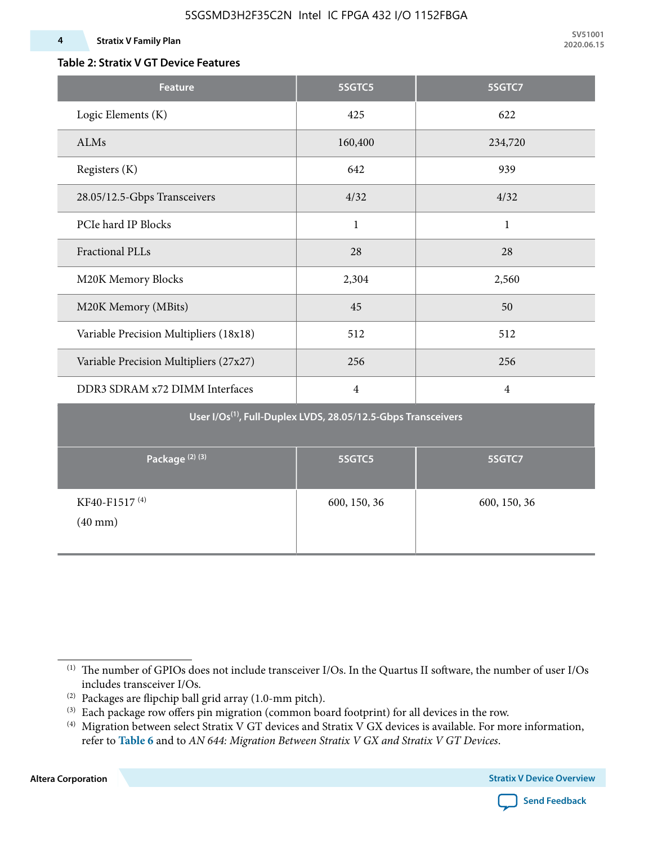### **Table 2: Stratix V GT Device Features**

| <b>Feature</b>                                                            | 5SGTC5         | 5SGTC7         |  |  |  |  |  |  |  |
|---------------------------------------------------------------------------|----------------|----------------|--|--|--|--|--|--|--|
| Logic Elements (K)                                                        | 425            | 622            |  |  |  |  |  |  |  |
| ALMs                                                                      | 160,400        | 234,720        |  |  |  |  |  |  |  |
| Registers (K)                                                             | 642            | 939            |  |  |  |  |  |  |  |
| 28.05/12.5-Gbps Transceivers                                              | 4/32           | 4/32           |  |  |  |  |  |  |  |
| PCIe hard IP Blocks                                                       | $\mathbf{1}$   | $\mathbf{1}$   |  |  |  |  |  |  |  |
| <b>Fractional PLLs</b>                                                    | 28             | 28             |  |  |  |  |  |  |  |
| M20K Memory Blocks                                                        | 2,304          | 2,560          |  |  |  |  |  |  |  |
| M20K Memory (MBits)                                                       | 45             | 50             |  |  |  |  |  |  |  |
| Variable Precision Multipliers (18x18)                                    | 512            | 512            |  |  |  |  |  |  |  |
| Variable Precision Multipliers (27x27)                                    | 256            | 256            |  |  |  |  |  |  |  |
| DDR3 SDRAM x72 DIMM Interfaces                                            | $\overline{4}$ | $\overline{4}$ |  |  |  |  |  |  |  |
| User I/Os <sup>(1)</sup> , Full-Duplex LVDS, 28.05/12.5-Gbps Transceivers |                |                |  |  |  |  |  |  |  |
| Package <sup>(2)(3)</sup>                                                 | 5SGTC5         | 5SGTC7         |  |  |  |  |  |  |  |
| KF40-F1517 <sup>(4)</sup><br>$(40$ mm $)$                                 | 600, 150, 36   | 600, 150, 36   |  |  |  |  |  |  |  |

**Altera Corporation** 



<sup>(1)</sup> The number of GPIOs does not include transceiver I/Os. In the Quartus II software, the number of user I/Os includes transceiver I/Os.

 $^{(2)}$  Packages are flipchip ball grid array (1.0-mm pitch).

<sup>(3)</sup> Each package row offers pin migration (common board footprint) for all devices in the row.

<sup>(4)</sup> Migration between select Stratix V GT devices and Stratix V GX devices is available. For more information, refer to **Table 6** and to *AN 644: Migration Between Stratix V GX and Stratix V GT Devices*.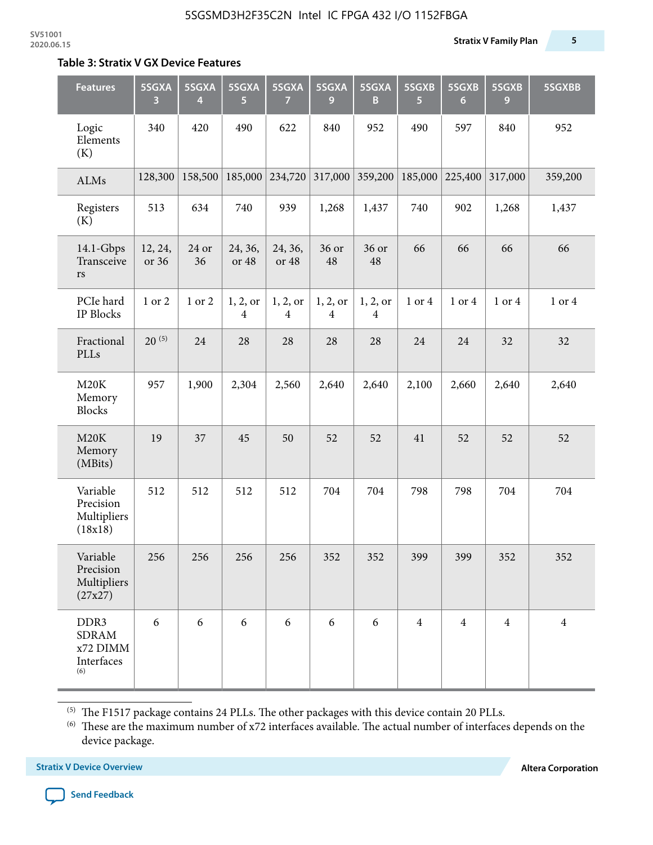#### **Table 3: Stratix V GX Device Features**

| <b>Features</b>                                       | 5SGXA<br>3       | 5SGXA<br>4  | 5SGXA<br>5                 | 5SGXA<br>7                 | 5SGXA<br>9                 | 5SGXA<br>B                 | 5SGXB<br>5     | 5SGXB<br>$6\phantom{1}6$ | 5SGXB<br>9     | 5SGXBB         |
|-------------------------------------------------------|------------------|-------------|----------------------------|----------------------------|----------------------------|----------------------------|----------------|--------------------------|----------------|----------------|
| Logic<br>Elements<br>(K)                              | 340              | 420         | 490                        | 622                        | 840                        | 952                        | 490            | 597                      | 840            | 952            |
| ALMs                                                  | 128,300          | 158,500     | 185,000                    | 234,720                    | 317,000                    | 359,200                    | 185,000        | 225,400                  | 317,000        | 359,200        |
| Registers<br>(K)                                      | 513              | 634         | 740                        | 939                        | 1,268                      | 1,437                      | 740            | 902                      | 1,268          | 1,437          |
| 14.1-Gbps<br>Transceive<br>rs                         | 12, 24,<br>or 36 | 24 or<br>36 | 24, 36,<br>or 48           | 24, 36,<br>or 48           | 36 or<br>48                | 36 or<br>48                | 66             | 66                       | 66             | 66             |
| PCIe hard<br><b>IP Blocks</b>                         | 1 or 2           | 1 or 2      | 1, 2, 0r<br>$\overline{4}$ | 1, 2, 0r<br>$\overline{4}$ | 1, 2, or<br>$\overline{4}$ | 1, 2, 0r<br>$\overline{4}$ | 1 or 4         | 1 or 4                   | 1 or 4         | 1 or 4         |
| Fractional<br>PLLs                                    | $20^{(5)}$       | 24          | 28                         | 28                         | 28                         | 28                         | 24             | 24                       | 32             | 32             |
| M20K<br>Memory<br><b>Blocks</b>                       | 957              | 1,900       | 2,304                      | 2,560                      | 2,640                      | 2,640                      | 2,100          | 2,660                    | 2,640          | 2,640          |
| M20K<br>Memory<br>(MBits)                             | 19               | 37          | 45                         | 50                         | 52                         | 52                         | 41             | 52                       | 52             | 52             |
| Variable<br>Precision<br>Multipliers<br>(18x18)       | 512              | 512         | 512                        | 512                        | 704                        | 704                        | 798            | 798                      | 704            | 704            |
| Variable<br>Precision<br>Multipliers<br>(27x27)       | 256              | 256         | 256                        | 256                        | 352                        | 352                        | 399            | 399                      | 352            | 352            |
| DDR3<br><b>SDRAM</b><br>x72 DIMM<br>Interfaces<br>(6) | 6                | 6           | 6                          | 6                          | 6                          | 6                          | $\overline{4}$ | $\overline{4}$           | $\overline{4}$ | $\overline{4}$ |

 $^{\left(5\right)}$  The F1517 package contains 24 PLLs. The other packages with this device contain 20 PLLs.

(6) These are the maximum number of x72 interfaces available. The actual number of interfaces depends on the device package.

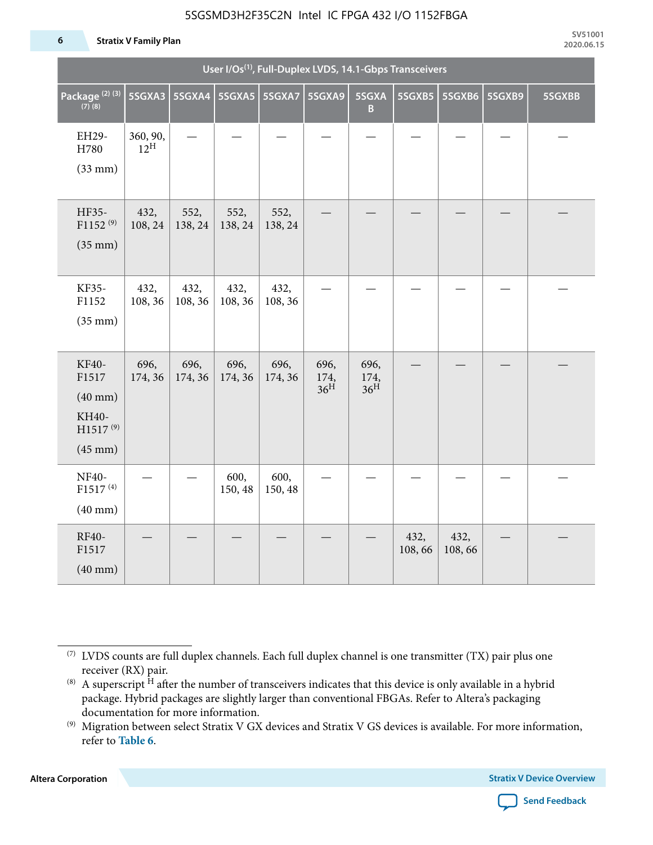#### **6 Stratix V Family Plan**

| User I/Os <sup>(1)</sup> , Full-Duplex LVDS, 14.1-Gbps Transceivers                  |                             |                 |                 |                 |                                 |                                 |                |                |        |        |
|--------------------------------------------------------------------------------------|-----------------------------|-----------------|-----------------|-----------------|---------------------------------|---------------------------------|----------------|----------------|--------|--------|
| Package <sup>(2)(3)</sup><br>$(7)$ (8)                                               | 5SGXA3                      |                 |                 |                 | 5SGXA9                          | 5SGXA<br>B.                     | 5SGXB5         | 5SGXB6         | 5SGXB9 | 5SGXBB |
| EH29-<br>H780<br>$(33$ mm $)$                                                        | 360, 90,<br>$12^{\text{H}}$ |                 |                 |                 |                                 |                                 |                |                |        |        |
| HF35-<br>$F1152^{(9)}$<br>$(35$ mm $)$                                               | 432,<br>108, 24             | 552,<br>138, 24 | 552,<br>138, 24 | 552,<br>138, 24 |                                 |                                 |                |                |        |        |
| KF35-<br>F1152<br>$(35$ mm $)$                                                       | 432,<br>108, 36             | 432,<br>108, 36 | 432,<br>108, 36 | 432,<br>108, 36 |                                 |                                 |                |                |        |        |
| KF40-<br>F1517<br>$(40$ mm $)$<br>KH40-<br>H1517 <sup>(9)</sup><br>$(45 \text{ mm})$ | 696,<br>174, 36             | 696,<br>174, 36 | 696,<br>174, 36 | 696,<br>174, 36 | 696,<br>174,<br>36 <sup>H</sup> | 696,<br>174,<br>36 <sup>H</sup> |                |                |        |        |
| NF40-<br>F1517 <sup>(4)</sup><br>$(40$ mm $)$                                        |                             |                 | 600,<br>150, 48 | 600,<br>150, 48 |                                 |                                 |                |                |        |        |
| RF40-<br>F1517<br>$(40$ mm $)$                                                       |                             |                 |                 |                 |                                 |                                 | 432,<br>108,66 | 432,<br>108,66 |        |        |

**Altera Corporation** 



<sup>(7)</sup> LVDS counts are full duplex channels. Each full duplex channel is one transmitter (TX) pair plus one receiver (RX) pair.

<sup>(8)</sup> A superscript  $H$  after the number of transceivers indicates that this device is only available in a hybrid package. Hybrid packages are slightly larger than conventional FBGAs. Refer to Altera's packaging documentation for more information.

<sup>(9)</sup> Migration between select Stratix V GX devices and Stratix V GS devices is available. For more information, refer to **Table 6**.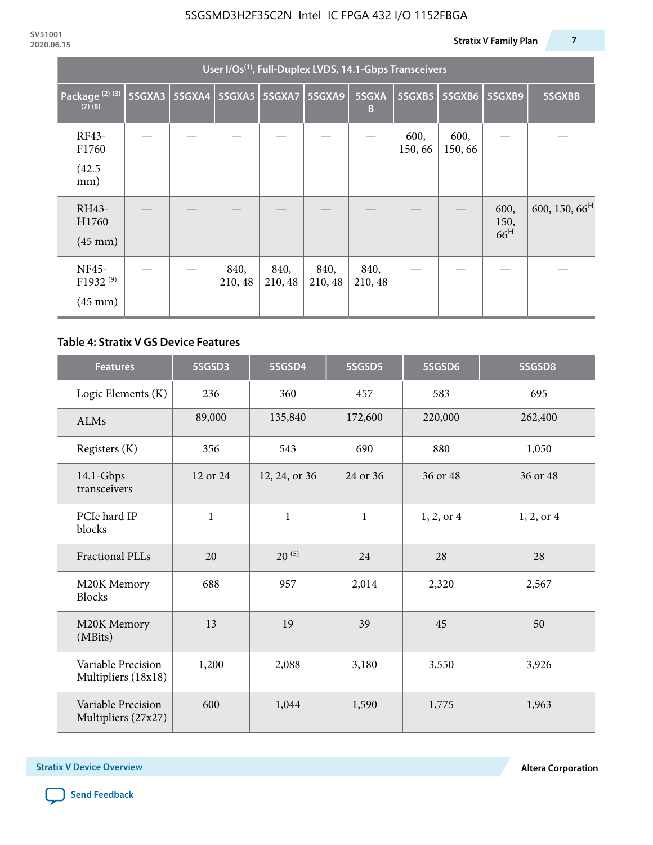| User I/Os <sup>(1)</sup> , Full-Duplex LVDS, 14.1-Gbps Transceivers |        |  |                          |                 |                 |                 |                 |                |                                 |                           |
|---------------------------------------------------------------------|--------|--|--------------------------|-----------------|-----------------|-----------------|-----------------|----------------|---------------------------------|---------------------------|
| Package <sup>(2)(3)</sup><br>$(7)$ $(8)$                            | 5SGXA3 |  | 5SGXA4   5SGXA5   5SGXA7 |                 | 5SGXA9          | 5SGXA<br>B      | 5SGXB5          | 5SGXB6         | 5SGXB9                          | 5SGXBB                    |
| RF43-<br>F1760<br>(42.5)<br>mm)                                     |        |  |                          |                 |                 |                 | 600,<br>150, 66 | 600,<br>150,66 |                                 |                           |
| RH43-<br>H1760<br>$(45 \text{ mm})$                                 |        |  |                          |                 |                 |                 |                 |                | 600,<br>150,<br>66 <sup>H</sup> | 600, 150, 66 <sup>H</sup> |
| <b>NF45-</b><br>F1932 <sup>(9)</sup><br>$(45 \text{ mm})$           |        |  | 840,<br>210, 48          | 840,<br>210, 48 | 840,<br>210, 48 | 840,<br>210, 48 |                 |                |                                 |                           |

### **Table 4: Stratix V GS Device Features**

| <b>Features</b>                           | 5SGSD3       | 5SGSD4        | 5SGSD5       | 5SGSD6     | 5SGSD8         |
|-------------------------------------------|--------------|---------------|--------------|------------|----------------|
| Logic Elements (K)                        | 236          | 360           | 457          | 583        | 695            |
| ALMs                                      | 89,000       | 135,840       | 172,600      | 220,000    | 262,400        |
| Registers (K)                             | 356          | 543           | 690          | 880        | 1,050          |
| $14.1$ -Gbps<br>transceivers              | 12 or 24     | 12, 24, or 36 | 24 or 36     | 36 or 48   | 36 or 48       |
| PCIe hard IP<br>blocks                    | $\mathbf{1}$ | $\mathbf{1}$  | $\mathbf{1}$ | 1, 2, or 4 | $1, 2,$ or $4$ |
| <b>Fractional PLLs</b>                    | 20           | $20^{(5)}$    | 24           | 28         | 28             |
| M20K Memory<br><b>Blocks</b>              | 688          | 957           | 2,014        | 2,320      | 2,567          |
| M20K Memory<br>(MBits)                    | 13           |               | 39           | 45         | 50             |
| Variable Precision<br>Multipliers (18x18) | 1,200        | 2,088         | 3,180        | 3,550      | 3,926          |
| Variable Precision<br>Multipliers (27x27) | 600          | 1,044         | 1,590        | 1,775      | 1,963          |

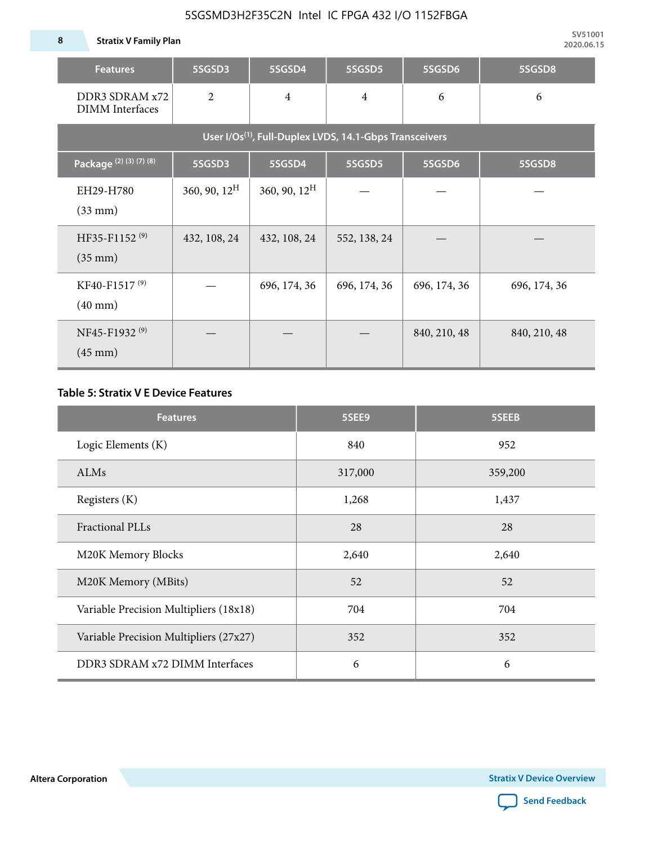**8 Stratix V Family Plan**

| <b>Features</b>                                                     | 5SGSD3                   | 5SGSD4                   | 5SGSD5         | 5SGSD6       | 5SGSD8       |  |  |  |  |  |  |
|---------------------------------------------------------------------|--------------------------|--------------------------|----------------|--------------|--------------|--|--|--|--|--|--|
| DDR3 SDRAM x72<br>DIMM Interfaces                                   | $\overline{2}$           | $\overline{4}$           | $\overline{4}$ | 6            | 6            |  |  |  |  |  |  |
| User I/Os <sup>(1)</sup> , Full-Duplex LVDS, 14.1-Gbps Transceivers |                          |                          |                |              |              |  |  |  |  |  |  |
| Package (2) (3) (7) (8)                                             | 5SGSD3                   | 5SGSD4                   | 5SGSD5         | 5SGSD6       | 5SGSD8       |  |  |  |  |  |  |
| EH29-H780<br>$(33$ mm $)$                                           | $360, 90, 12^{\text{H}}$ | $360, 90, 12^{\text{H}}$ |                |              |              |  |  |  |  |  |  |
| HF35-F1152 <sup>(9)</sup><br>$(35 \text{ mm})$                      | 432, 108, 24             | 432, 108, 24             | 552, 138, 24   |              |              |  |  |  |  |  |  |
| KF40-F1517 <sup>(9)</sup><br>$(40 \text{ mm})$                      |                          | 696, 174, 36             | 696, 174, 36   | 696, 174, 36 | 696, 174, 36 |  |  |  |  |  |  |
| NF45-F1932 <sup>(9)</sup><br>$(45 \text{ mm})$                      |                          |                          |                | 840, 210, 48 | 840, 210, 48 |  |  |  |  |  |  |

### **Table 5: Stratix V E Device Features**

| <b>Features</b>                        | 5SEE9   | 5SEEB   |
|----------------------------------------|---------|---------|
| Logic Elements (K)                     | 840     | 952     |
| ALMs                                   | 317,000 | 359,200 |
| Registers (K)                          | 1,268   | 1,437   |
| <b>Fractional PLLs</b>                 | 28      | 28      |
| M20K Memory Blocks                     | 2,640   | 2,640   |
| M20K Memory (MBits)                    | 52      | 52      |
| Variable Precision Multipliers (18x18) | 704     | 704     |
| Variable Precision Multipliers (27x27) | 352     | 352     |
| DDR3 SDRAM x72 DIMM Interfaces         | 6       | 6       |

**Altera Corporation** 

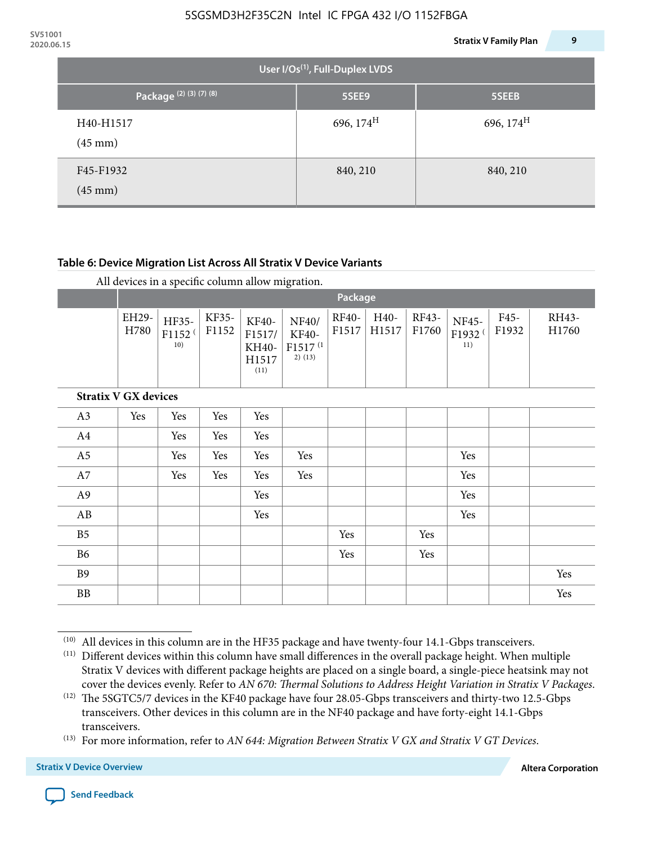| <b>JVJIUUI</b><br>2020.06.15 |                                 |                                             | 9<br><b>Stratix V Family Plan</b> |
|------------------------------|---------------------------------|---------------------------------------------|-----------------------------------|
|                              |                                 | User I/Os <sup>(1)</sup> , Full-Duplex LVDS |                                   |
|                              | Package <sup>(2)(3)(7)(8)</sup> | 5SEE9                                       | 5SEEB                             |
|                              | H40-H1517<br>$(45 \text{ mm})$  | 696, $174^{\rm H}$                          | 696, 174 <sup>H</sup>             |
|                              | F45-F1932<br>$(45 \text{ mm})$  | 840, 210                                    | 840, 210                          |

### **Table 6: Device Migration List Across All Stratix V Device Variants**

|                             |               | Package                            |                |                                           |                                                    |                       |               |                |                                    |               |                |
|-----------------------------|---------------|------------------------------------|----------------|-------------------------------------------|----------------------------------------------------|-----------------------|---------------|----------------|------------------------------------|---------------|----------------|
|                             | EH29-<br>H780 | HF35-<br>F1152 <sup>(</sup><br>10) | KF35-<br>F1152 | KF40-<br>F1517/<br>KH40-<br>H1517<br>(11) | NF40/<br>KF40-<br>F1517 <sup>(1</sup><br>$2)$ (13) | <b>RF40-</b><br>F1517 | H40-<br>H1517 | RF43-<br>F1760 | NF45-<br>F1932 <sup>(</sup><br>11) | F45-<br>F1932 | RH43-<br>H1760 |
| <b>Stratix V GX devices</b> |               |                                    |                |                                           |                                                    |                       |               |                |                                    |               |                |
| A3                          | Yes           | Yes                                | Yes            | Yes                                       |                                                    |                       |               |                |                                    |               |                |
| A4                          |               | Yes                                | Yes            | Yes                                       |                                                    |                       |               |                |                                    |               |                |
| A <sub>5</sub>              |               | Yes                                | Yes            | Yes                                       | Yes                                                |                       |               |                | Yes                                |               |                |
| A7                          |               | Yes                                | Yes            | Yes                                       | Yes                                                |                       |               |                | Yes                                |               |                |
| A9                          |               |                                    |                | Yes                                       |                                                    |                       |               |                | Yes                                |               |                |
| AB                          |               |                                    |                | Yes                                       |                                                    |                       |               |                | Yes                                |               |                |
| B <sub>5</sub>              |               |                                    |                |                                           |                                                    | Yes                   |               | Yes            |                                    |               |                |
| <b>B6</b>                   |               |                                    |                |                                           |                                                    | Yes                   |               | Yes            |                                    |               |                |
| <b>B9</b>                   |               |                                    |                |                                           |                                                    |                       |               |                |                                    |               | Yes            |
| <b>BB</b>                   |               |                                    |                |                                           |                                                    |                       |               |                |                                    |               | Yes            |

 $(10)$  All devices in this column are in the HF35 package and have twenty-four 14.1-Gbps transceivers.



<sup>(11)</sup> Different devices within this column have small differences in the overall package height. When multiple Stratix V devices with different package heights are placed on a single board, a single-piece heatsink may not cover the devices evenly. Refer to *AN 670: Thermal Solutions to Address Height Variation in Stratix V Packages*.

<sup>(12)</sup> The 5SGTC5/7 devices in the KF40 package have four 28.05-Gbps transceivers and thirty-two 12.5-Gbps transceivers. Other devices in this column are in the NF40 package and have forty-eight 14.1-Gbps transceivers.

<sup>(13)</sup> For more information, refer to *AN 644: Migration Between Stratix V GX and Stratix V GT Devices*.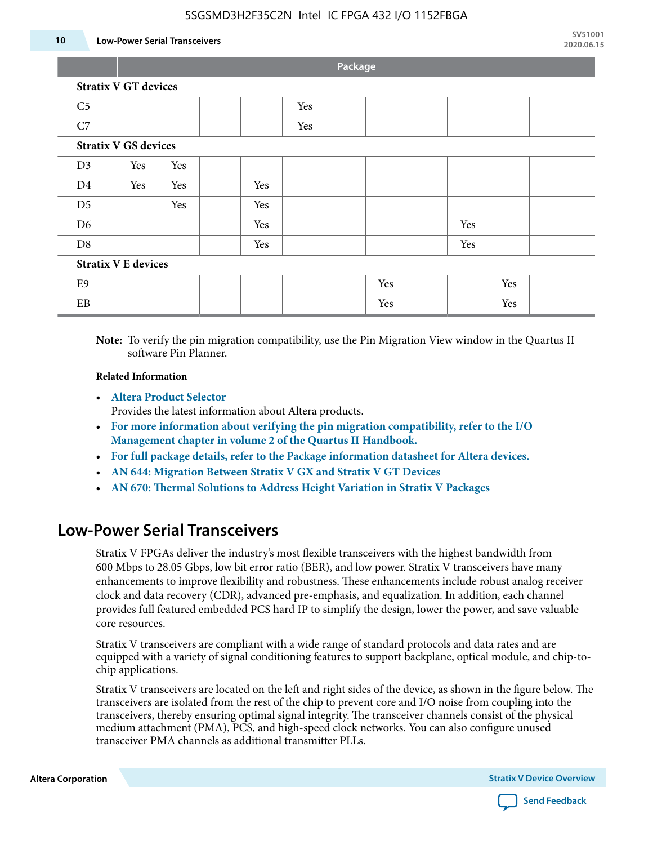#### **10 Low-Power Serial Transceivers**

**Package**

| C <sub>5</sub>             |                             |     |     | Yes |  |     |     |     |  |
|----------------------------|-----------------------------|-----|-----|-----|--|-----|-----|-----|--|
| C7                         |                             |     |     | Yes |  |     |     |     |  |
|                            | <b>Stratix V GS devices</b> |     |     |     |  |     |     |     |  |
| D3                         | Yes                         | Yes |     |     |  |     |     |     |  |
| D <sub>4</sub>             | Yes                         | Yes | Yes |     |  |     |     |     |  |
| D <sub>5</sub>             |                             | Yes | Yes |     |  |     |     |     |  |
| D <sub>6</sub>             |                             |     | Yes |     |  |     | Yes |     |  |
| D <sub>8</sub>             |                             |     | Yes |     |  |     | Yes |     |  |
| <b>Stratix V E devices</b> |                             |     |     |     |  |     |     |     |  |
| E <sub>9</sub>             |                             |     |     |     |  | Yes |     | Yes |  |
| EB                         |                             |     |     |     |  | Yes |     | Yes |  |

**Note:** To verify the pin migration compatibility, use the Pin Migration View window in the Quartus II software Pin Planner.

#### **Related Information**

• **[Altera Product Selector](http://www.altera.com/products/selector/psg-selector.html#)**

Provides the latest information about Altera products.

- **[For more information about verifying the pin migration compatibility, refer to the I/O](http://www.altera.com/literature/hb/qts/qts_qii52013.pdf) [Management chapter in volume 2 of the Quartus II Handbook.](http://www.altera.com/literature/hb/qts/qts_qii52013.pdf)**
- **[For full package details, refer to the Package information datasheet for Altera devices.](http://www.altera.com/support/devices/packaging/specifications/pkg-pin/spe-index.jsp)**
- **[AN 644: Migration Between Stratix V GX and Stratix V GT Devices](http://www.altera.com/literature/an/an644.pdf)**
- **[AN 670: Thermal Solutions to Address Height Variation in Stratix V Packages](http://www.altera.com/literature/an/an670.pdf)**

# **Low-Power Serial Transceivers**

Stratix V FPGAs deliver the industry's most flexible transceivers with the highest bandwidth from 600 Mbps to 28.05 Gbps, low bit error ratio (BER), and low power. Stratix V transceivers have many enhancements to improve flexibility and robustness. These enhancements include robust analog receiver clock and data recovery (CDR), advanced pre-emphasis, and equalization. In addition, each channel provides full featured embedded PCS hard IP to simplify the design, lower the power, and save valuable core resources.

Stratix V transceivers are compliant with a wide range of standard protocols and data rates and are equipped with a variety of signal conditioning features to support backplane, optical module, and chip-tochip applications.

Stratix V transceivers are located on the left and right sides of the device, as shown in the figure below. The transceivers are isolated from the rest of the chip to prevent core and I/O noise from coupling into the transceivers, thereby ensuring optimal signal integrity. The transceiver channels consist of the physical medium attachment (PMA), PCS, and high-speed clock networks. You can also configure unused transceiver PMA channels as additional transmitter PLLs.

**Altera Corporation Stratix V Device Overview**

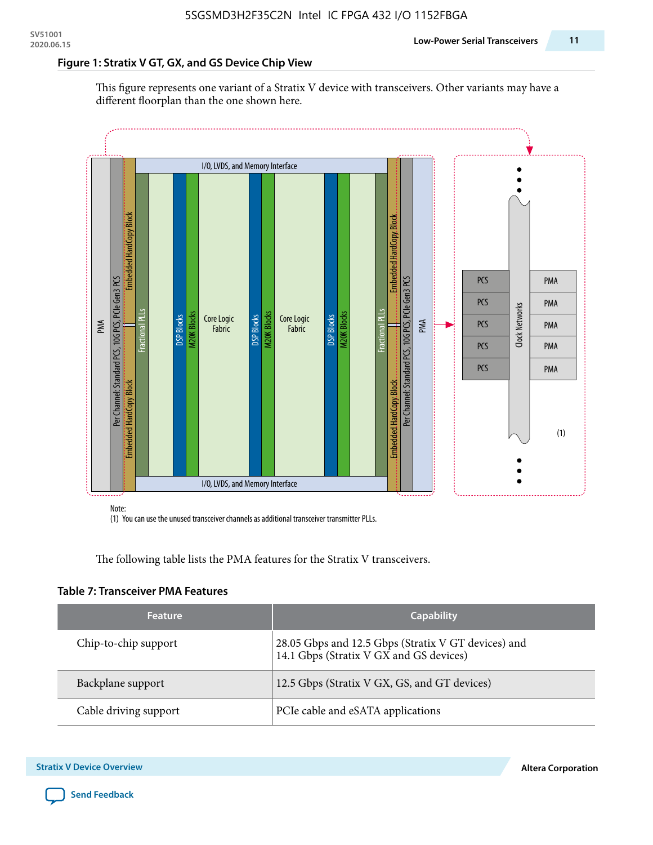### **Figure 1: Stratix V GT, GX, and GS Device Chip View**

This figure represents one variant of a Stratix V device with transceivers. Other variants may have a different floorplan than the one shown here.



(1) You can use the unused transceiver channels as additional transceiver transmitter PLLs.

The following table lists the PMA features for the Stratix V transceivers.

#### **Table 7: Transceiver PMA Features**

| <b>Feature</b>        | <b>Capability</b>                                                                              |
|-----------------------|------------------------------------------------------------------------------------------------|
| Chip-to-chip support  | 28.05 Gbps and 12.5 Gbps (Stratix V GT devices) and<br>14.1 Gbps (Stratix V GX and GS devices) |
| Backplane support     | 12.5 Gbps (Stratix V GX, GS, and GT devices)                                                   |
| Cable driving support | PCIe cable and eSATA applications                                                              |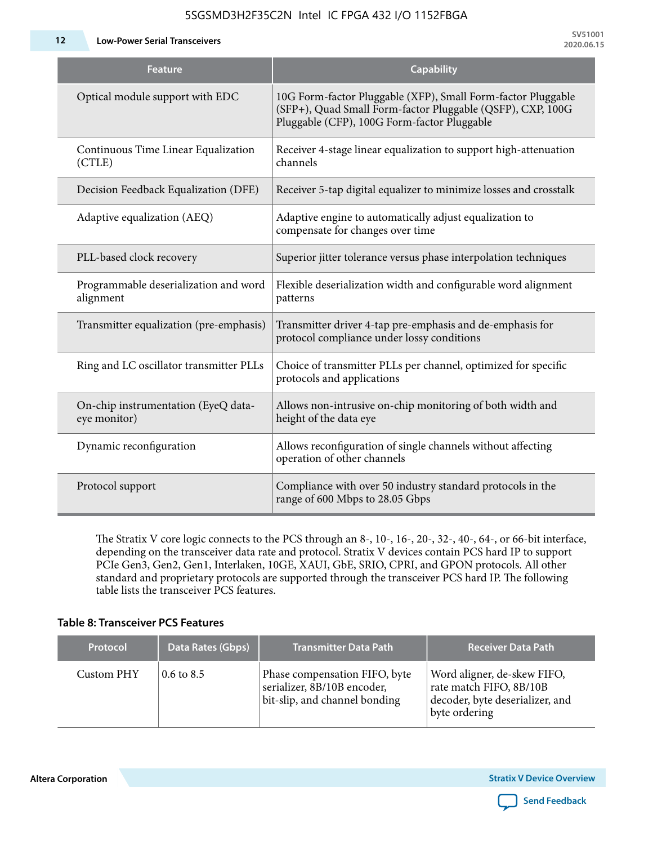**12 Low-Power Serial Transceivers**

| Feature                                             | <b>Capability</b>                                                                                                                                                         |
|-----------------------------------------------------|---------------------------------------------------------------------------------------------------------------------------------------------------------------------------|
| Optical module support with EDC                     | 10G Form-factor Pluggable (XFP), Small Form-factor Pluggable<br>(SFP+), Quad Small Form-factor Pluggable (QSFP), CXP, 100G<br>Pluggable (CFP), 100G Form-factor Pluggable |
| Continuous Time Linear Equalization<br>(CTLE)       | Receiver 4-stage linear equalization to support high-attenuation<br>channels                                                                                              |
| Decision Feedback Equalization (DFE)                | Receiver 5-tap digital equalizer to minimize losses and crosstalk                                                                                                         |
| Adaptive equalization (AEQ)                         | Adaptive engine to automatically adjust equalization to<br>compensate for changes over time                                                                               |
| PLL-based clock recovery                            | Superior jitter tolerance versus phase interpolation techniques                                                                                                           |
| Programmable deserialization and word<br>alignment  | Flexible deserialization width and configurable word alignment<br>patterns                                                                                                |
| Transmitter equalization (pre-emphasis)             | Transmitter driver 4-tap pre-emphasis and de-emphasis for<br>protocol compliance under lossy conditions                                                                   |
| Ring and LC oscillator transmitter PLLs             | Choice of transmitter PLLs per channel, optimized for specific<br>protocols and applications                                                                              |
| On-chip instrumentation (EyeQ data-<br>eye monitor) | Allows non-intrusive on-chip monitoring of both width and<br>height of the data eye                                                                                       |
| Dynamic reconfiguration                             | Allows reconfiguration of single channels without affecting<br>operation of other channels                                                                                |
| Protocol support                                    | Compliance with over 50 industry standard protocols in the<br>range of 600 Mbps to 28.05 Gbps                                                                             |

The Stratix V core logic connects to the PCS through an 8-, 10-, 16-, 20-, 32-, 40-, 64-, or 66-bit interface, depending on the transceiver data rate and protocol. Stratix V devices contain PCS hard IP to support PCIe Gen3, Gen2, Gen1, Interlaken, 10GE, XAUI, GbE, SRIO, CPRI, and GPON protocols. All other standard and proprietary protocols are supported through the transceiver PCS hard IP. The following table lists the transceiver PCS features.

### **Table 8: Transceiver PCS Features**

| <b>Protocol</b> | Data Rates (Gbps)     | <b>Transmitter Data Path</b>                                                                  | <b>Receiver Data Path</b>                                                                                  |  |  |
|-----------------|-----------------------|-----------------------------------------------------------------------------------------------|------------------------------------------------------------------------------------------------------------|--|--|
| Custom PHY      | $0.6 \text{ to } 8.5$ | Phase compensation FIFO, byte<br>serializer, 8B/10B encoder,<br>bit-slip, and channel bonding | Word aligner, de-skew FIFO,<br>rate match FIFO, 8B/10B<br>decoder, byte deserializer, and<br>byte ordering |  |  |

**Altera Corporation** 

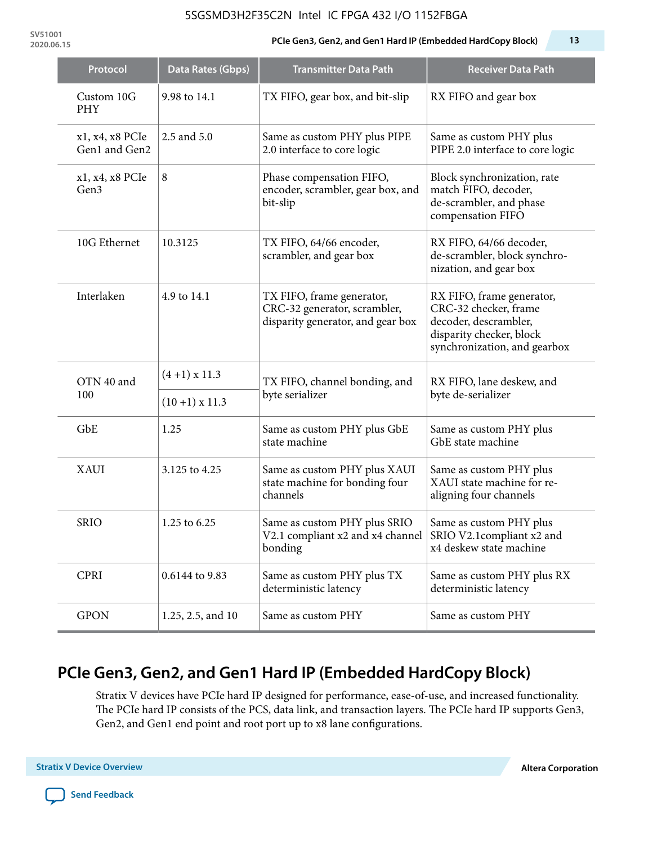**SV51001**

#### **2020.06.15 PCIe Gen3, Gen2, and Gen1 Hard IP (Embedded HardCopy Block) 13**

| Protocol                         | Data Rates (Gbps)    | <b>Transmitter Data Path</b>                                                                   | <b>Receiver Data Path</b>                                                                                                               |  |
|----------------------------------|----------------------|------------------------------------------------------------------------------------------------|-----------------------------------------------------------------------------------------------------------------------------------------|--|
| Custom 10G<br>PHY                | 9.98 to 14.1         | TX FIFO, gear box, and bit-slip                                                                | RX FIFO and gear box                                                                                                                    |  |
| x1, x4, x8 PCIe<br>Gen1 and Gen2 | 2.5 and 5.0          | Same as custom PHY plus PIPE<br>2.0 interface to core logic                                    | Same as custom PHY plus<br>PIPE 2.0 interface to core logic                                                                             |  |
| x1, x4, x8 PCIe<br>Gen3          | 8                    | Phase compensation FIFO,<br>encoder, scrambler, gear box, and<br>bit-slip                      | Block synchronization, rate<br>match FIFO, decoder,<br>de-scrambler, and phase<br>compensation FIFO                                     |  |
| 10G Ethernet                     | 10.3125              | TX FIFO, 64/66 encoder,<br>scrambler, and gear box                                             | RX FIFO, 64/66 decoder,<br>de-scrambler, block synchro-<br>nization, and gear box                                                       |  |
| Interlaken                       | 4.9 to 14.1          | TX FIFO, frame generator,<br>CRC-32 generator, scrambler,<br>disparity generator, and gear box | RX FIFO, frame generator,<br>CRC-32 checker, frame<br>decoder, descrambler,<br>disparity checker, block<br>synchronization, and gearbox |  |
| OTN 40 and                       | $(4+1)$ x 11.3       | TX FIFO, channel bonding, and                                                                  | RX FIFO, lane deskew, and                                                                                                               |  |
| 100                              | $(10+1) \times 11.3$ | byte serializer                                                                                | byte de-serializer                                                                                                                      |  |
| GbE                              | 1.25                 | Same as custom PHY plus GbE<br>state machine                                                   | Same as custom PHY plus<br>GbE state machine                                                                                            |  |
| XAUI                             | 3.125 to 4.25        | Same as custom PHY plus XAUI<br>state machine for bonding four<br>channels                     | Same as custom PHY plus<br>XAUI state machine for re-<br>aligning four channels                                                         |  |
| <b>SRIO</b>                      | 1.25 to 6.25         | Same as custom PHY plus SRIO<br>V2.1 compliant x2 and x4 channel<br>bonding                    | Same as custom PHY plus<br>SRIO V2.1 compliant x2 and<br>x4 deskew state machine                                                        |  |
| <b>CPRI</b>                      | 0.6144 to 9.83       | Same as custom PHY plus TX<br>deterministic latency                                            | Same as custom PHY plus RX<br>deterministic latency                                                                                     |  |
| <b>GPON</b>                      | 1.25, 2.5, and 10    | Same as custom PHY                                                                             | Same as custom PHY                                                                                                                      |  |

# **PCIe Gen3, Gen2, and Gen1 Hard IP (Embedded HardCopy Block)**

Stratix V devices have PCIe hard IP designed for performance, ease-of-use, and increased functionality. The PCIe hard IP consists of the PCS, data link, and transaction layers. The PCIe hard IP supports Gen3, Gen2, and Gen1 end point and root port up to x8 lane configurations.

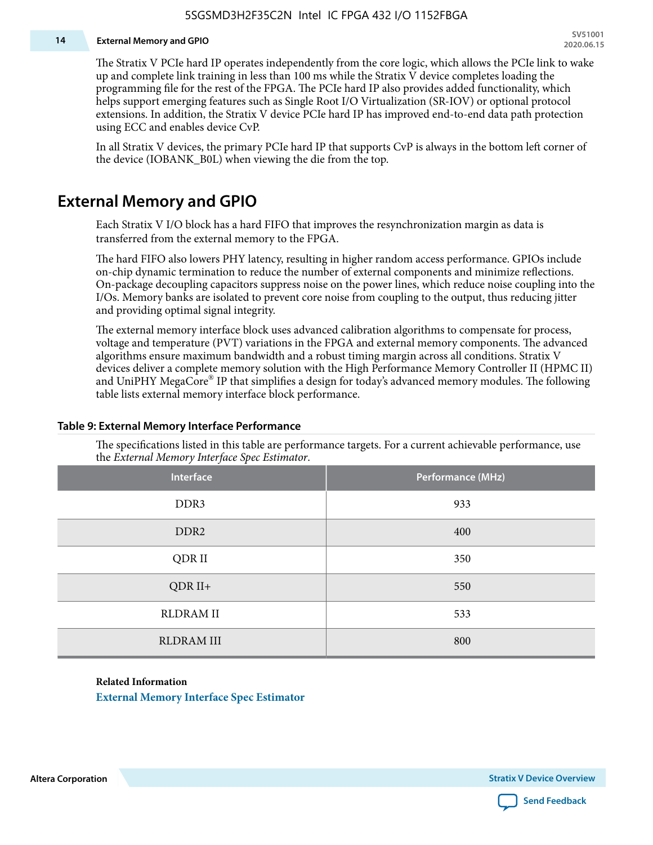#### **14 External Memory and GPIO**

The Stratix V PCIe hard IP operates independently from the core logic, which allows the PCIe link to wake up and complete link training in less than 100 ms while the Stratix V device completes loading the programming file for the rest of the FPGA. The PCIe hard IP also provides added functionality, which helps support emerging features such as Single Root I/O Virtualization (SR-IOV) or optional protocol extensions. In addition, the Stratix V device PCIe hard IP has improved end-to-end data path protection using ECC and enables device CvP.

In all Stratix V devices, the primary PCIe hard IP that supports CvP is always in the bottom left corner of the device (IOBANK\_B0L) when viewing the die from the top.

### **External Memory and GPIO**

Each Stratix V I/O block has a hard FIFO that improves the resynchronization margin as data is transferred from the external memory to the FPGA.

The hard FIFO also lowers PHY latency, resulting in higher random access performance. GPIOs include on-chip dynamic termination to reduce the number of external components and minimize reflections. On-package decoupling capacitors suppress noise on the power lines, which reduce noise coupling into the I/Os. Memory banks are isolated to prevent core noise from coupling to the output, thus reducing jitter and providing optimal signal integrity.

The external memory interface block uses advanced calibration algorithms to compensate for process, voltage and temperature (PVT) variations in the FPGA and external memory components. The advanced algorithms ensure maximum bandwidth and a robust timing margin across all conditions. Stratix V devices deliver a complete memory solution with the High Performance Memory Controller II (HPMC II) and UniPHY MegaCore® IP that simplifies a design for today's advanced memory modules. The following table lists external memory interface block performance.

| Interface         | Performance (MHz) |
|-------------------|-------------------|
| DDR3              | 933               |
| DDR <sub>2</sub>  | 400               |
| QDR II            | 350               |
| $QDR II+$         | 550               |
| <b>RLDRAM II</b>  | 533               |
| <b>RLDRAM III</b> | 800               |

#### **Table 9: External Memory Interface Performance**

The specifications listed in this table are performance targets. For a current achievable performance, use the *External Memory Interface Spec Estimator*.

#### **Related Information**

**[External Memory Interface Spec Estimator](http://www.altera.com/technology/memory/estimator/mem-emif-index.html)**

**Altera Corporation Stratix V Device Overview**

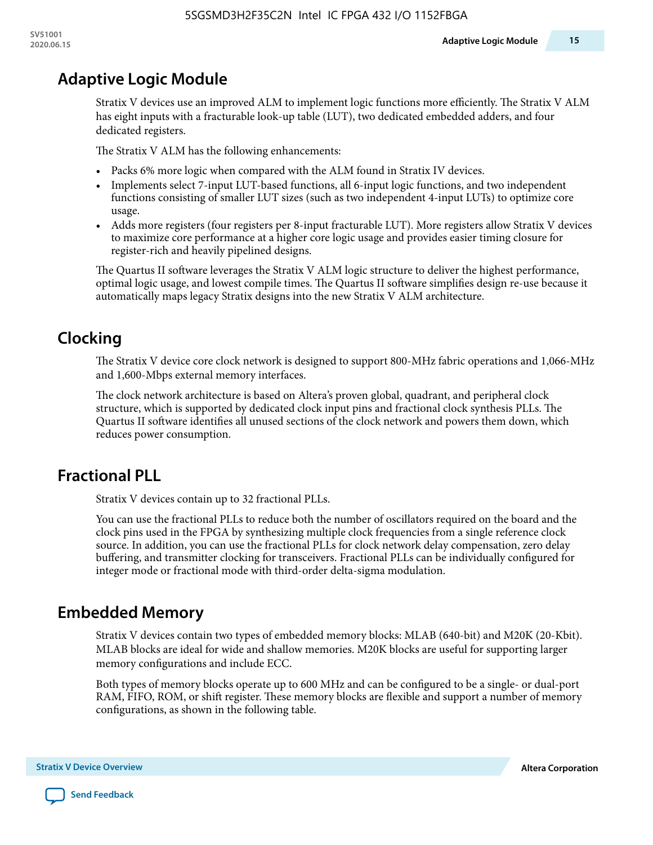# **Adaptive Logic Module**

Stratix V devices use an improved ALM to implement logic functions more efficiently. The Stratix V ALM has eight inputs with a fracturable look-up table (LUT), two dedicated embedded adders, and four dedicated registers.

The Stratix V ALM has the following enhancements:

- Packs 6% more logic when compared with the ALM found in Stratix IV devices.
- Implements select 7-input LUT-based functions, all 6-input logic functions, and two independent functions consisting of smaller LUT sizes (such as two independent 4-input LUTs) to optimize core usage.
- Adds more registers (four registers per 8-input fracturable LUT). More registers allow Stratix V devices to maximize core performance at a higher core logic usage and provides easier timing closure for register-rich and heavily pipelined designs.

The Quartus II software leverages the Stratix V ALM logic structure to deliver the highest performance, optimal logic usage, and lowest compile times. The Quartus II software simplifies design re-use because it automatically maps legacy Stratix designs into the new Stratix V ALM architecture.

# **Clocking**

The Stratix V device core clock network is designed to support 800-MHz fabric operations and 1,066-MHz and 1,600-Mbps external memory interfaces.

The clock network architecture is based on Altera's proven global, quadrant, and peripheral clock structure, which is supported by dedicated clock input pins and fractional clock synthesis PLLs. The Quartus II software identifies all unused sections of the clock network and powers them down, which reduces power consumption.

# **Fractional PLL**

Stratix V devices contain up to 32 fractional PLLs.

You can use the fractional PLLs to reduce both the number of oscillators required on the board and the clock pins used in the FPGA by synthesizing multiple clock frequencies from a single reference clock source. In addition, you can use the fractional PLLs for clock network delay compensation, zero delay buffering, and transmitter clocking for transceivers. Fractional PLLs can be individually configured for integer mode or fractional mode with third-order delta-sigma modulation.

# **Embedded Memory**

Stratix V devices contain two types of embedded memory blocks: MLAB (640-bit) and M20K (20-Kbit). MLAB blocks are ideal for wide and shallow memories. M20K blocks are useful for supporting larger memory configurations and include ECC.

Both types of memory blocks operate up to 600 MHz and can be configured to be a single- or dual-port RAM, FIFO, ROM, or shift register. These memory blocks are flexible and support a number of memory configurations, as shown in the following table.

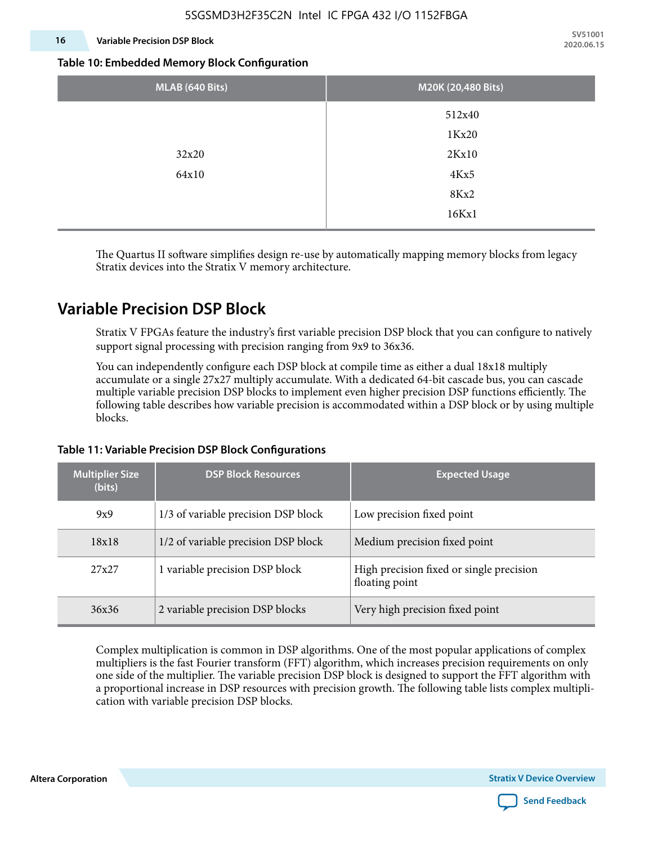### **16 Variable Precision DSP Block**

**SV51001 2020.06.15**

#### **Table 10: Embedded Memory Block Configuration**

| MLAB (640 Bits) | M20K (20,480 Bits) |
|-----------------|--------------------|
|                 | 512x40             |
|                 | 1Kx20              |
| 32x20           | 2Kx10              |
| 64x10           | 4Kx5               |
|                 | 8Kx2               |
|                 | 16Kx1              |

The Quartus II software simplifies design re-use by automatically mapping memory blocks from legacy Stratix devices into the Stratix V memory architecture.

### **Variable Precision DSP Block**

Stratix V FPGAs feature the industry's first variable precision DSP block that you can configure to natively support signal processing with precision ranging from 9x9 to 36x36.

You can independently configure each DSP block at compile time as either a dual 18x18 multiply accumulate or a single 27x27 multiply accumulate. With a dedicated 64-bit cascade bus, you can cascade multiple variable precision DSP blocks to implement even higher precision DSP functions efficiently. The following table describes how variable precision is accommodated within a DSP block or by using multiple blocks.

| <b>Multiplier Size</b><br>(bits) | <b>DSP Block Resources</b>          | <b>Expected Usage</b>                                      |  |  |
|----------------------------------|-------------------------------------|------------------------------------------------------------|--|--|
| 9x9                              | 1/3 of variable precision DSP block | Low precision fixed point                                  |  |  |
| 18x18                            | 1/2 of variable precision DSP block | Medium precision fixed point                               |  |  |
| 27x27                            | 1 variable precision DSP block      | High precision fixed or single precision<br>floating point |  |  |
| 36x36                            | 2 variable precision DSP blocks     | Very high precision fixed point                            |  |  |

### **Table 11: Variable Precision DSP Block Configurations**

Complex multiplication is common in DSP algorithms. One of the most popular applications of complex multipliers is the fast Fourier transform (FFT) algorithm, which increases precision requirements on only one side of the multiplier. The variable precision DSP block is designed to support the FFT algorithm with a proportional increase in DSP resources with precision growth. The following table lists complex multipli‐ cation with variable precision DSP blocks.

**Altera Corporation** 

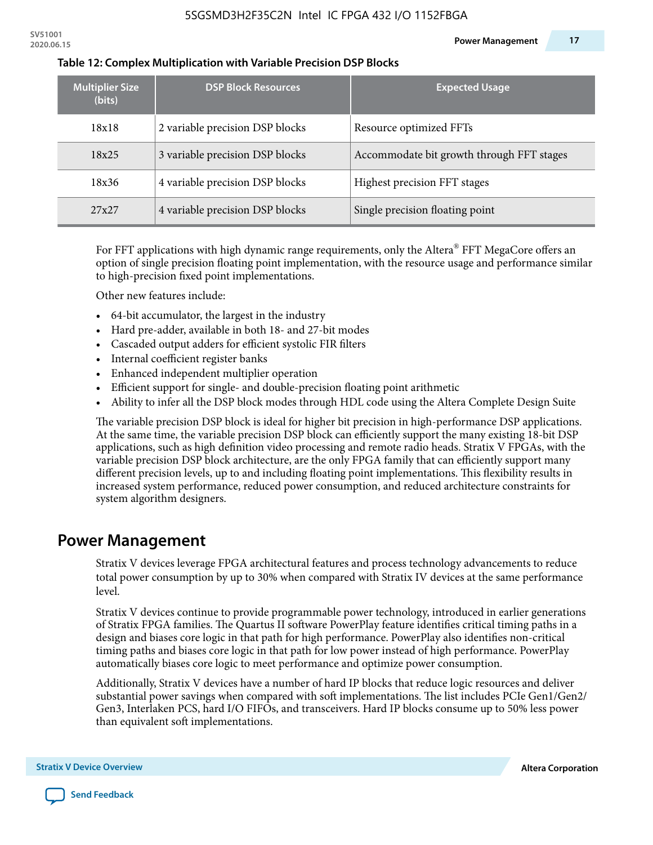| <b>Multiplier Size</b><br>(bits) | <b>DSP Block Resources</b>      | <b>Expected Usage</b>                     |
|----------------------------------|---------------------------------|-------------------------------------------|
| 18x18                            | 2 variable precision DSP blocks | Resource optimized FFTs                   |
| 18x25                            | 3 variable precision DSP blocks | Accommodate bit growth through FFT stages |
| 18x36                            | 4 variable precision DSP blocks | Highest precision FFT stages              |
| 27x27                            | 4 variable precision DSP blocks | Single precision floating point           |

#### **Table 12: Complex Multiplication with Variable Precision DSP Blocks**

For FFT applications with high dynamic range requirements, only the Altera $^\circ$  FFT MegaCore offers an option of single precision floating point implementation, with the resource usage and performance similar to high-precision fixed point implementations.

Other new features include:

- 64-bit accumulator, the largest in the industry
- Hard pre-adder, available in both 18- and 27-bit modes
- Cascaded output adders for efficient systolic FIR filters
- Internal coefficient register banks
- Enhanced independent multiplier operation
- Efficient support for single- and double-precision floating point arithmetic
- Ability to infer all the DSP block modes through HDL code using the Altera Complete Design Suite

The variable precision DSP block is ideal for higher bit precision in high-performance DSP applications. At the same time, the variable precision DSP block can efficiently support the many existing 18-bit DSP applications, such as high definition video processing and remote radio heads. Stratix V FPGAs, with the variable precision DSP block architecture, are the only FPGA family that can efficiently support many different precision levels, up to and including floating point implementations. This flexibility results in increased system performance, reduced power consumption, and reduced architecture constraints for system algorithm designers.

### **Power Management**

Stratix V devices leverage FPGA architectural features and process technology advancements to reduce total power consumption by up to 30% when compared with Stratix IV devices at the same performance level.

Stratix V devices continue to provide programmable power technology, introduced in earlier generations of Stratix FPGA families. The Quartus II software PowerPlay feature identifies critical timing paths in a design and biases core logic in that path for high performance. PowerPlay also identifies non-critical timing paths and biases core logic in that path for low power instead of high performance. PowerPlay automatically biases core logic to meet performance and optimize power consumption.

Additionally, Stratix V devices have a number of hard IP blocks that reduce logic resources and deliver substantial power savings when compared with soft implementations. The list includes PCIe Gen1/Gen2/ Gen3, Interlaken PCS, hard I/O FIFOs, and transceivers. Hard IP blocks consume up to 50% less power than equivalent soft implementations.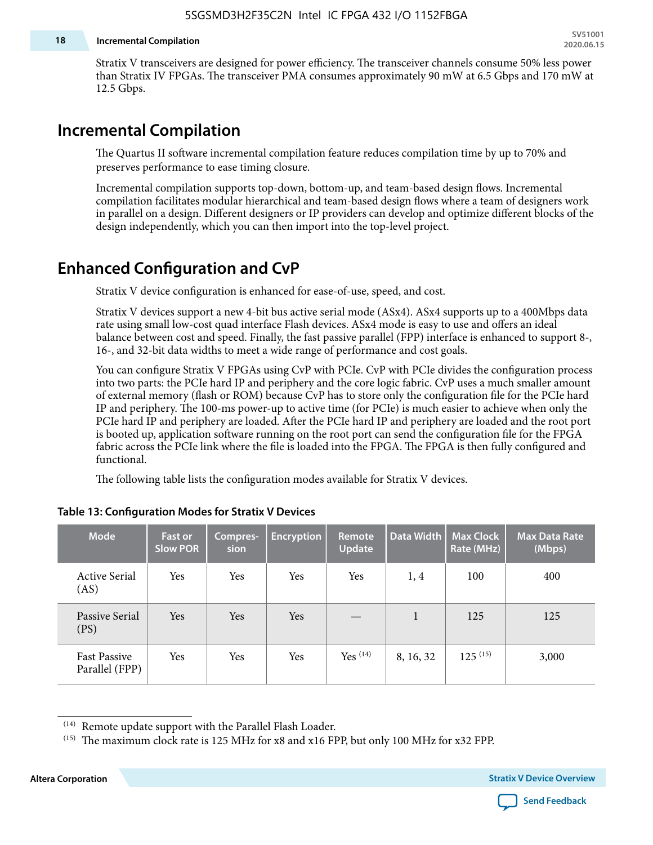#### **18 Incremental Compilation**

Stratix V transceivers are designed for power efficiency. The transceiver channels consume 50% less power than Stratix IV FPGAs. The transceiver PMA consumes approximately 90 mW at 6.5 Gbps and 170 mW at 12.5 Gbps.

# **Incremental Compilation**

The Quartus II software incremental compilation feature reduces compilation time by up to 70% and preserves performance to ease timing closure.

Incremental compilation supports top-down, bottom-up, and team-based design flows. Incremental compilation facilitates modular hierarchical and team-based design flows where a team of designers work in parallel on a design. Different designers or IP providers can develop and optimize different blocks of the design independently, which you can then import into the top-level project.

# **Enhanced Configuration and CvP**

Stratix V device configuration is enhanced for ease-of-use, speed, and cost.

Stratix V devices support a new 4-bit bus active serial mode (ASx4). ASx4 supports up to a 400Mbps data rate using small low-cost quad interface Flash devices. ASx4 mode is easy to use and offers an ideal balance between cost and speed. Finally, the fast passive parallel (FPP) interface is enhanced to support 8-, 16-, and 32-bit data widths to meet a wide range of performance and cost goals.

You can configure Stratix V FPGAs using CvP with PCIe. CvP with PCIe divides the configuration process into two parts: the PCIe hard IP and periphery and the core logic fabric. CvP uses a much smaller amount of external memory (flash or ROM) because CvP has to store only the configuration file for the PCIe hard IP and periphery. The 100-ms power-up to active time (for PCIe) is much easier to achieve when only the PCIe hard IP and periphery are loaded. After the PCIe hard IP and periphery are loaded and the root port is booted up, application software running on the root port can send the configuration file for the FPGA fabric across the PCIe link where the file is loaded into the FPGA. The FPGA is then fully configured and functional.

The following table lists the configuration modes available for Stratix V devices.

| <b>Mode</b>                           | <b>Fast or</b><br><b>Slow POR</b> | Compres-<br>sion | <b>Encryption</b> | <b>Remote</b><br><b>Update</b> | Data Width | <b>Max Clock</b><br>Rate (MHz) | <b>Max Data Rate</b><br>(Mbps) |
|---------------------------------------|-----------------------------------|------------------|-------------------|--------------------------------|------------|--------------------------------|--------------------------------|
| <b>Active Serial</b><br>(AS)          | Yes                               | Yes              | Yes               | Yes                            | 1, 4       | 100                            | 400                            |
| Passive Serial<br>(PS)                | Yes                               | Yes              | Yes               |                                | 1          | 125                            | 125                            |
| <b>Fast Passive</b><br>Parallel (FPP) | Yes                               | Yes              | Yes               | Yes $(14)$                     | 8, 16, 32  | $125^{(15)}$                   | 3,000                          |

### **Table 13: Configuration Modes for Stratix V Devices**

**Altera Corporation Stratix V Device Overview**



<sup>(14)</sup> Remote update support with the Parallel Flash Loader.

<sup>&</sup>lt;sup>(15)</sup> The maximum clock rate is 125 MHz for x8 and x16 FPP, but only 100 MHz for x32 FPP.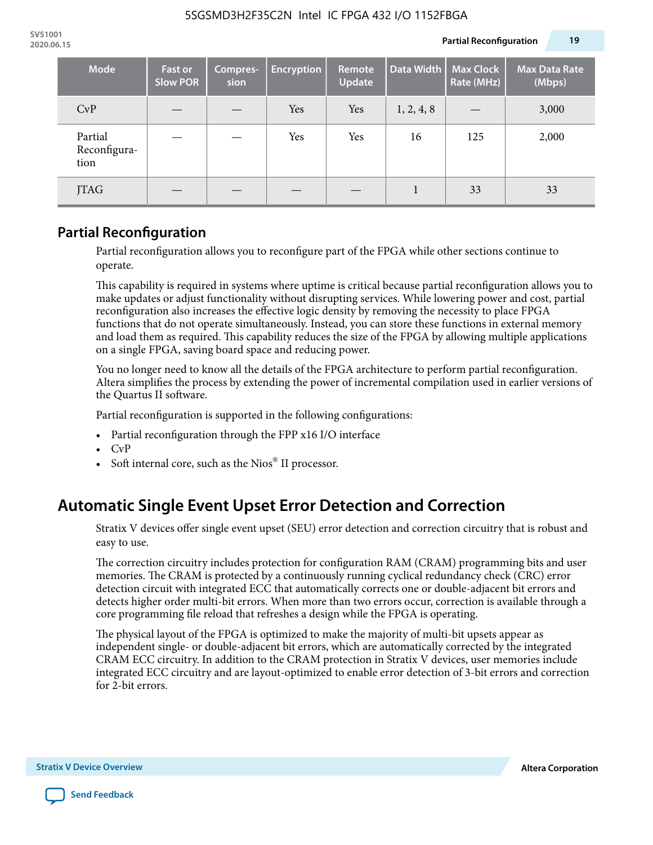| Mode                            | <b>Fast or</b><br><b>Slow POR</b> | Compres-<br>sion | <b>Encryption</b> | <b>Remote</b><br><b>Update</b> | Data Width | <b>Max Clock</b><br>Rate (MHz) | <b>Max Data Rate</b><br>(Mbps) |
|---------------------------------|-----------------------------------|------------------|-------------------|--------------------------------|------------|--------------------------------|--------------------------------|
| CvP                             |                                   |                  | Yes               | Yes                            | 1, 2, 4, 8 |                                | 3,000                          |
| Partial<br>Reconfigura-<br>tion |                                   |                  | Yes               | Yes                            | 16         | 125                            | 2,000                          |
| JTAG                            |                                   |                  |                   |                                |            | 33                             | 33                             |

### **Partial Reconfiguration**

Partial reconfiguration allows you to reconfigure part of the FPGA while other sections continue to operate.

This capability is required in systems where uptime is critical because partial reconfiguration allows you to make updates or adjust functionality without disrupting services. While lowering power and cost, partial reconfiguration also increases the effective logic density by removing the necessity to place FPGA functions that do not operate simultaneously. Instead, you can store these functions in external memory and load them as required. This capability reduces the size of the FPGA by allowing multiple applications on a single FPGA, saving board space and reducing power.

You no longer need to know all the details of the FPGA architecture to perform partial reconfiguration. Altera simplifies the process by extending the power of incremental compilation used in earlier versions of the Quartus II software.

Partial reconfiguration is supported in the following configurations:

- Partial reconfiguration through the FPP x16 I/O interface
- CvP
- Soft internal core, such as the Nios® II processor.

# **Automatic Single Event Upset Error Detection and Correction**

Stratix V devices offer single event upset (SEU) error detection and correction circuitry that is robust and easy to use.

The correction circuitry includes protection for configuration RAM (CRAM) programming bits and user memories. The CRAM is protected by a continuously running cyclical redundancy check (CRC) error detection circuit with integrated ECC that automatically corrects one or double-adjacent bit errors and detects higher order multi-bit errors. When more than two errors occur, correction is available through a core programming file reload that refreshes a design while the FPGA is operating.

The physical layout of the FPGA is optimized to make the majority of multi-bit upsets appear as independent single- or double-adjacent bit errors, which are automatically corrected by the integrated CRAM ECC circuitry. In addition to the CRAM protection in Stratix V devices, user memories include integrated ECC circuitry and are layout-optimized to enable error detection of 3-bit errors and correction for 2-bit errors.

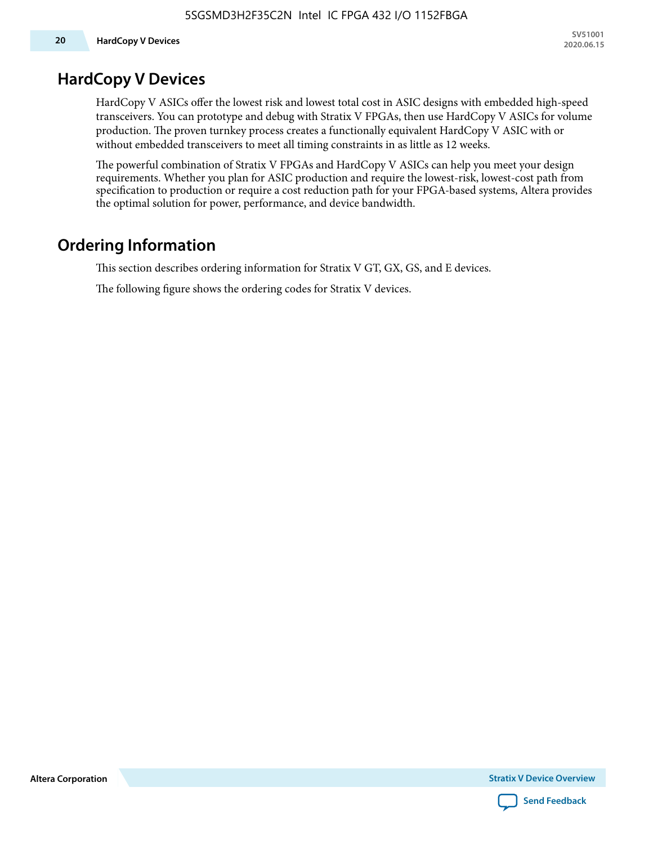# **HardCopy V Devices**

HardCopy V ASICs offer the lowest risk and lowest total cost in ASIC designs with embedded high-speed transceivers. You can prototype and debug with Stratix V FPGAs, then use HardCopy V ASICs for volume production. The proven turnkey process creates a functionally equivalent HardCopy V ASIC with or without embedded transceivers to meet all timing constraints in as little as 12 weeks.

The powerful combination of Stratix V FPGAs and HardCopy V ASICs can help you meet your design requirements. Whether you plan for ASIC production and require the lowest-risk, lowest-cost path from specification to production or require a cost reduction path for your FPGA-based systems, Altera provides the optimal solution for power, performance, and device bandwidth.

# **Ordering Information**

This section describes ordering information for Stratix V GT, GX, GS, and E devices.

The following figure shows the ordering codes for Stratix V devices.

**Altera Corporation** 

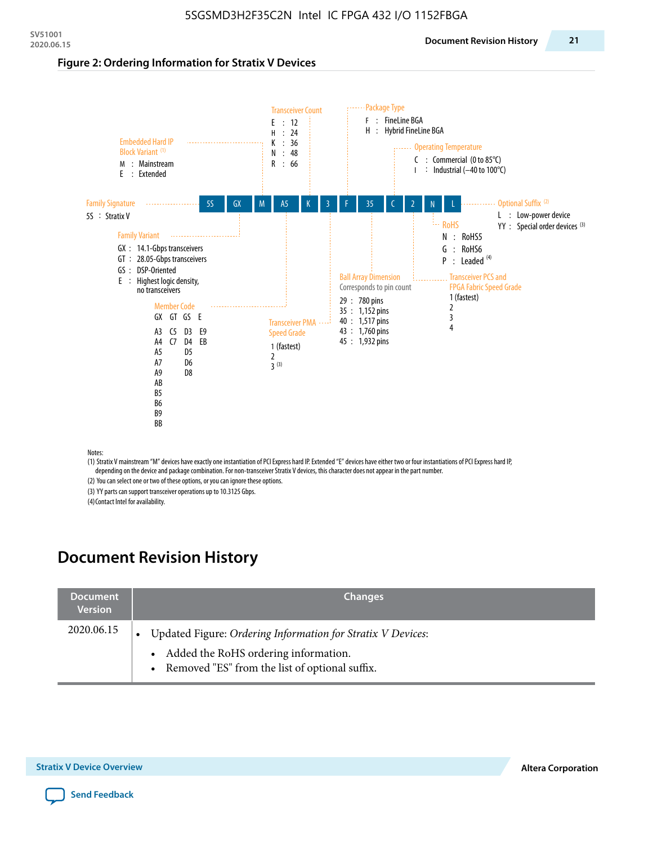#### **Figure 2: Ordering Information for Stratix V Devices**



(1) Stratix V mainstream "M" devices have exactly one instantiation of PCI Express hard IP. Extended "E" devices have either two or four instantiations of PCI Express hard IP, depending on the device and package combination. For non-transceiver Stratix V devices, this character does not appear in the part number.

(2) You can select one or two of these options, or you can ignore these options.

(3) YY parts can support transceiver operations up to 10.3125 Gbps.

(4) Contact Intel for availability.

# **Document Revision History**

| <b>Document</b><br><b>Version</b> | <b>Changes</b>                                                                                                                                            |
|-----------------------------------|-----------------------------------------------------------------------------------------------------------------------------------------------------------|
| 2020.06.15                        | Updated Figure: Ordering Information for Stratix V Devices:<br>• Added the RoHS ordering information.<br>• Removed "ES" from the list of optional suffix. |

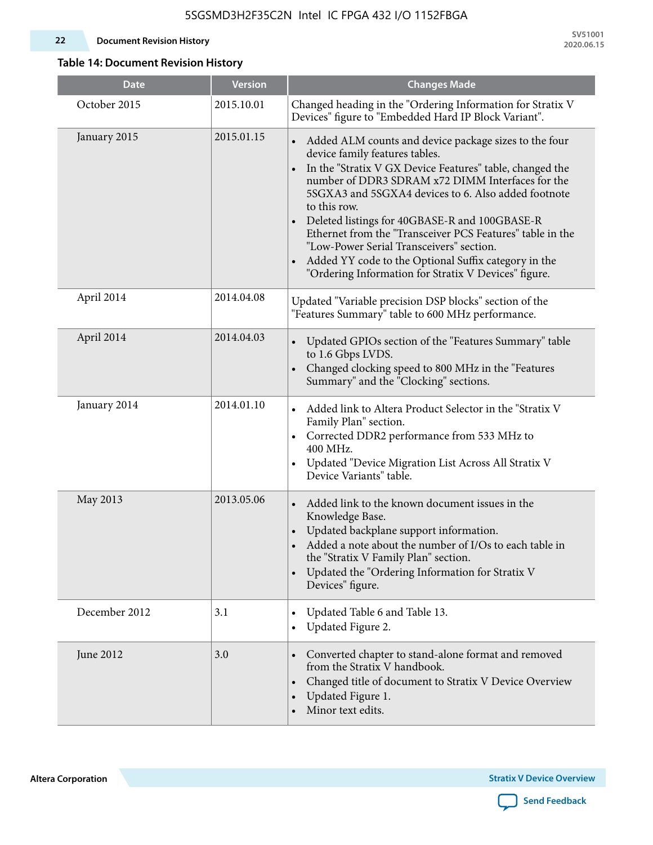#### **22 Document Revision History**

**SV51001 2020.06.15**

### **Table 14: Document Revision History**

| <b>Date</b>   | <b>Version</b> | <b>Changes Made</b>                                                                                                                                                                                                                                                                                                                                                                                                                                                                                                                                                                             |
|---------------|----------------|-------------------------------------------------------------------------------------------------------------------------------------------------------------------------------------------------------------------------------------------------------------------------------------------------------------------------------------------------------------------------------------------------------------------------------------------------------------------------------------------------------------------------------------------------------------------------------------------------|
| October 2015  | 2015.10.01     | Changed heading in the "Ordering Information for Stratix V<br>Devices" figure to "Embedded Hard IP Block Variant".                                                                                                                                                                                                                                                                                                                                                                                                                                                                              |
| January 2015  | 2015.01.15     | Added ALM counts and device package sizes to the four<br>$\bullet$<br>device family features tables.<br>In the "Stratix V GX Device Features" table, changed the<br>$\bullet$<br>number of DDR3 SDRAM x72 DIMM Interfaces for the<br>5SGXA3 and 5SGXA4 devices to 6. Also added footnote<br>to this row.<br>Deleted listings for 40GBASE-R and 100GBASE-R<br>Ethernet from the "Transceiver PCS Features" table in the<br>"Low-Power Serial Transceivers" section.<br>Added YY code to the Optional Suffix category in the<br>$\bullet$<br>"Ordering Information for Stratix V Devices" figure. |
| April 2014    | 2014.04.08     | Updated "Variable precision DSP blocks" section of the<br>"Features Summary" table to 600 MHz performance.                                                                                                                                                                                                                                                                                                                                                                                                                                                                                      |
| April 2014    | 2014.04.03     | Updated GPIOs section of the "Features Summary" table<br>$\bullet$<br>to 1.6 Gbps LVDS.<br>Changed clocking speed to 800 MHz in the "Features<br>Summary" and the "Clocking" sections.                                                                                                                                                                                                                                                                                                                                                                                                          |
| January 2014  | 2014.01.10     | Added link to Altera Product Selector in the "Stratix V<br>Family Plan" section.<br>Corrected DDR2 performance from 533 MHz to<br>$\bullet$<br>400 MHz.<br>Updated "Device Migration List Across All Stratix V<br>Device Variants" table.                                                                                                                                                                                                                                                                                                                                                       |
| May 2013      | 2013.05.06     | Added link to the known document issues in the<br>Knowledge Base.<br>Updated backplane support information.<br>Added a note about the number of I/Os to each table in<br>the "Stratix V Family Plan" section.<br>Updated the "Ordering Information for Stratix V<br>$\bullet$<br>Devices" figure.                                                                                                                                                                                                                                                                                               |
| December 2012 | 3.1            | Updated Table 6 and Table 13.<br>$\bullet$<br>Updated Figure 2.<br>$\bullet$                                                                                                                                                                                                                                                                                                                                                                                                                                                                                                                    |
| June 2012     | 3.0            | Converted chapter to stand-alone format and removed<br>$\bullet$<br>from the Stratix V handbook.<br>Changed title of document to Stratix V Device Overview<br>$\bullet$<br>Updated Figure 1.<br>$\bullet$<br>Minor text edits.                                                                                                                                                                                                                                                                                                                                                                  |

**Altera Corporation** 

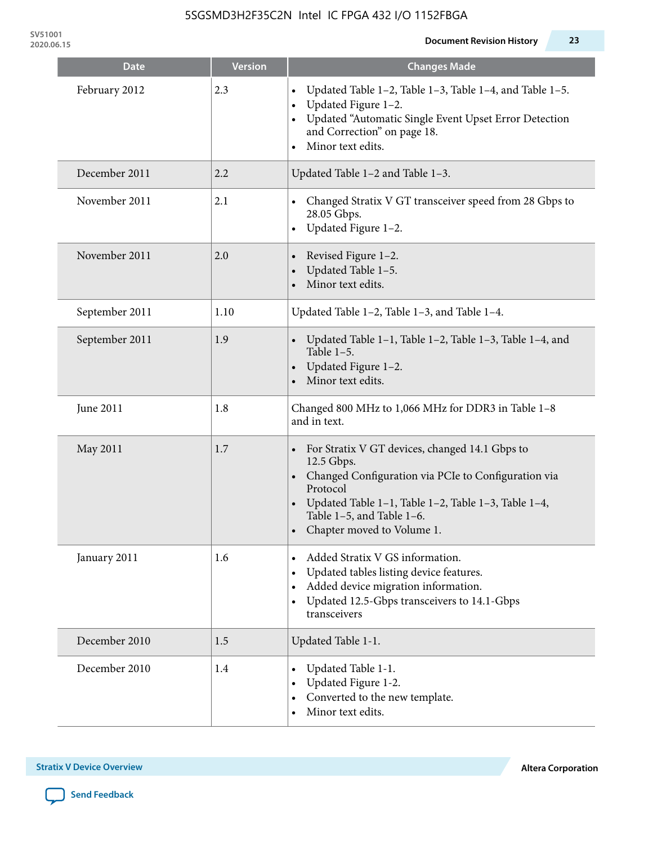| Date           | <b>Version</b> | <b>Changes Made</b>                                                                                                                                                                                                                                            |
|----------------|----------------|----------------------------------------------------------------------------------------------------------------------------------------------------------------------------------------------------------------------------------------------------------------|
| February 2012  | 2.3            | Updated Table 1-2, Table 1-3, Table 1-4, and Table 1-5.<br>Updated Figure 1-2.<br>$\bullet$<br>Updated "Automatic Single Event Upset Error Detection<br>and Correction" on page 18.<br>Minor text edits.                                                       |
| December 2011  | 2.2            | Updated Table 1-2 and Table 1-3.                                                                                                                                                                                                                               |
| November 2011  | 2.1            | Changed Stratix V GT transceiver speed from 28 Gbps to<br>28.05 Gbps.<br>Updated Figure 1-2.<br>$\bullet$                                                                                                                                                      |
| November 2011  | 2.0            | Revised Figure 1-2.<br>Updated Table 1-5.<br>Minor text edits.                                                                                                                                                                                                 |
| September 2011 | 1.10           | Updated Table 1-2, Table 1-3, and Table 1-4.                                                                                                                                                                                                                   |
| September 2011 | 1.9            | Updated Table 1–1, Table 1–2, Table 1–3, Table 1–4, and<br>Table $1-5$ .<br>Updated Figure 1-2.<br>Minor text edits.                                                                                                                                           |
| June 2011      | 1.8            | Changed 800 MHz to 1,066 MHz for DDR3 in Table 1-8<br>and in text.                                                                                                                                                                                             |
| May 2011       | 1.7            | For Stratix V GT devices, changed 14.1 Gbps to<br>12.5 Gbps.<br>Changed Configuration via PCIe to Configuration via<br>Protocol<br>Updated Table 1–1, Table 1–2, Table 1–3, Table 1–4,<br>$\bullet$<br>Table 1-5, and Table 1-6.<br>Chapter moved to Volume 1. |
| January 2011   | 1.6            | Added Stratix V GS information.<br>Updated tables listing device features.<br>$\bullet$<br>Added device migration information.<br>$\bullet$<br>Updated 12.5-Gbps transceivers to 14.1-Gbps<br>transceivers                                                     |
| December 2010  | 1.5            | Updated Table 1-1.                                                                                                                                                                                                                                             |
| December 2010  | 1.4            | Updated Table 1-1.<br>Updated Figure 1-2.<br>Converted to the new template.<br>Minor text edits.                                                                                                                                                               |

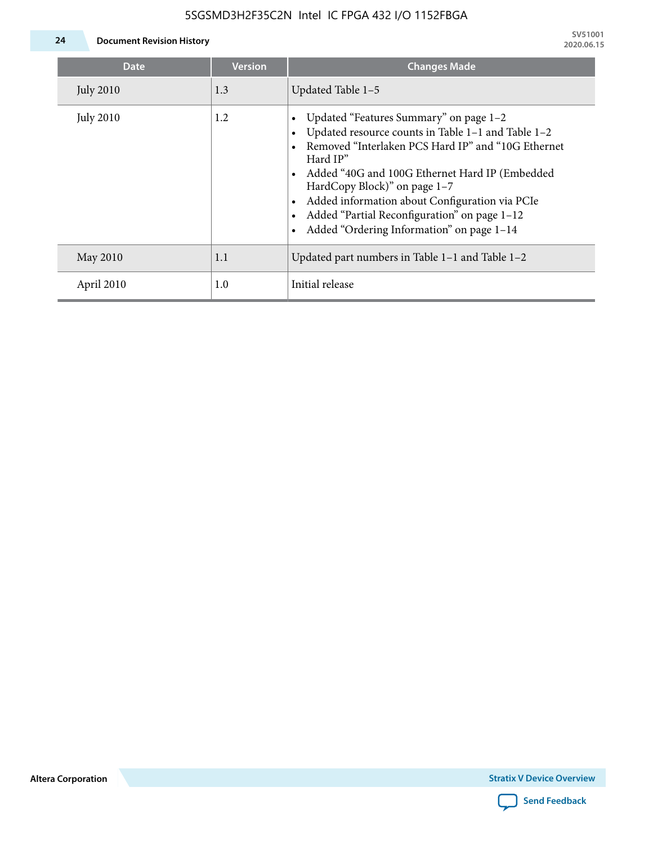

| <b>Date</b>      | <b>Version</b> | <b>Changes Made</b>                                                                                                                                                                                                                                                                                                                                                                             |
|------------------|----------------|-------------------------------------------------------------------------------------------------------------------------------------------------------------------------------------------------------------------------------------------------------------------------------------------------------------------------------------------------------------------------------------------------|
| <b>July 2010</b> | 1.3            | Updated Table 1-5                                                                                                                                                                                                                                                                                                                                                                               |
| <b>July 2010</b> | 1.2            | Updated "Features Summary" on page 1-2<br>Updated resource counts in Table 1-1 and Table 1-2<br>Removed "Interlaken PCS Hard IP" and "10G Ethernet<br>Hard IP"<br>Added "40G and 100G Ethernet Hard IP (Embedded<br>HardCopy Block)" on page 1-7<br>Added information about Configuration via PCIe<br>Added "Partial Reconfiguration" on page 1-12<br>Added "Ordering Information" on page 1-14 |
| May 2010         | 1.1            | Updated part numbers in Table 1-1 and Table 1-2                                                                                                                                                                                                                                                                                                                                                 |
| April 2010       | 1.0            | Initial release                                                                                                                                                                                                                                                                                                                                                                                 |

**Altera Corporation**